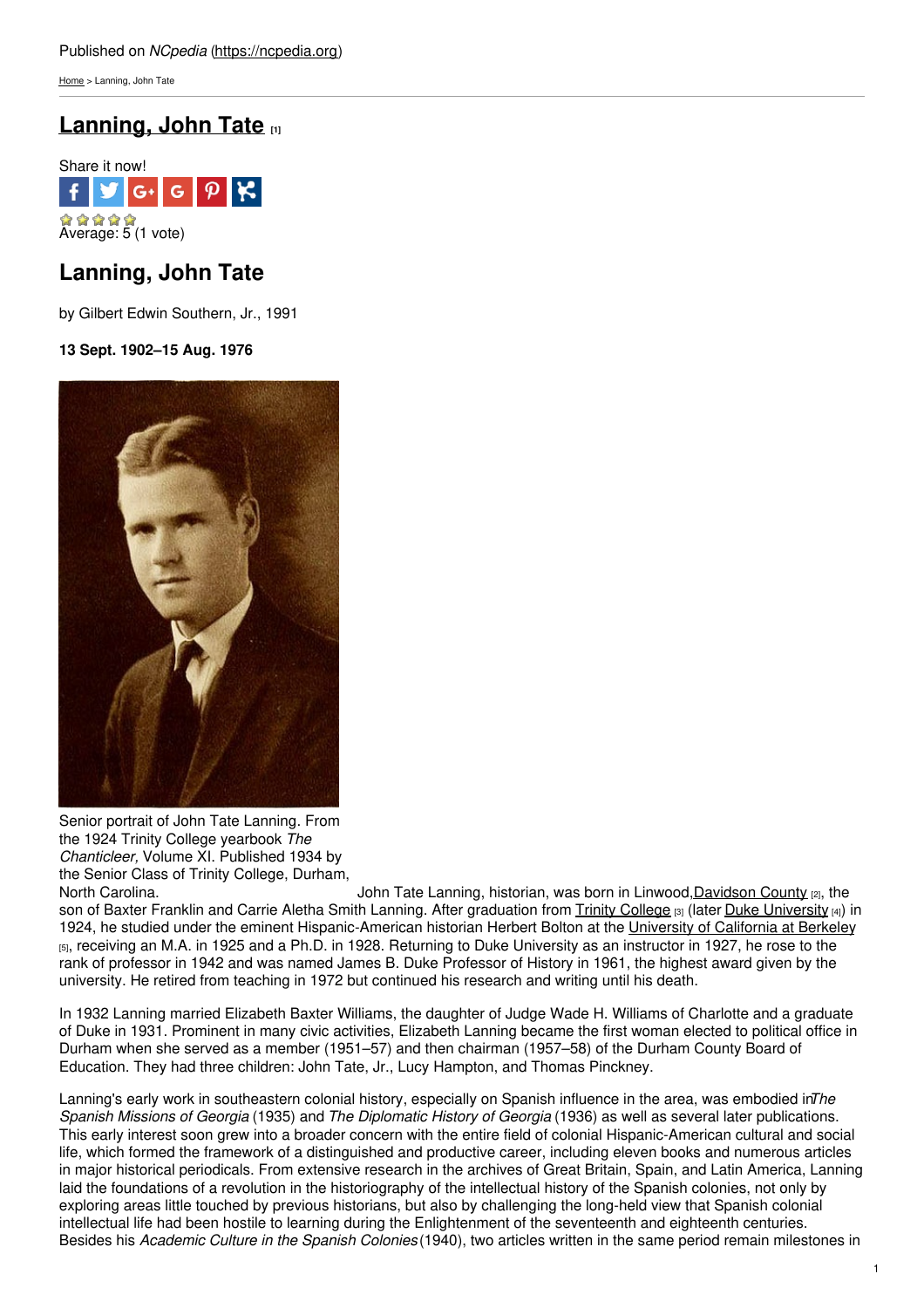[Home](https://ncpedia.org/) > Lanning, John Tate

# **[Lanning,](https://ncpedia.org/biography/lanning-john-tate) John Tate [1]**



## **Lanning, John Tate**

by Gilbert Edwin Southern, Jr., 1991

### **13 Sept. 1902–15 Aug. 1976**



Senior portrait of John Tate Lanning. From the 1924 Trinity College yearbook *The Chanticleer,* Volume XI. Published 1934 by the Senior Class of Trinity College, Durham,<br>North Carolina.

John Tate Lanning, historian, was born in Linwood, Davidson County [2], the son of Baxter Franklin and Carrie Aletha Smith Lanning. After graduation from Trinity [College](https://ncpedia.org/trinity-college) [3] (later Duke [University](https://ncpedia.org/duke-university) [4]) in 1924, he studied under the eminent Hispanic-American historian Herbert Bolton at the [University](http://www.berkeley.edu/index.html) of California at Berkeley [5], receiving an M.A. in 1925 and a Ph.D. in 1928. Returning to Duke University as an instructor in 1927, he rose to the rank of professor in 1942 and was named James B. Duke Professor of History in 1961, the highest award given by the university. He retired from teaching in 1972 but continued his research and writing until his death.

In 1932 Lanning married Elizabeth Baxter Williams, the daughter of Judge Wade H. Williams of Charlotte and a graduate of Duke in 1931. Prominent in many civic activities, Elizabeth Lanning became the first woman elected to political office in Durham when she served as a member (1951–57) and then chairman (1957–58) of the Durham County Board of Education. They had three children: John Tate, Jr., Lucy Hampton, and Thomas Pinckney.

Lanning's early work in southeastern colonial history, especially on Spanish influence in the area, was embodied in*The Spanish Missions of Georgia* (1935) and *The Diplomatic History of Georgia* (1936) as well as several later publications. This early interest soon grew into a broader concern with the entire field of colonial Hispanic-American cultural and social life, which formed the framework of a distinguished and productive career, including eleven books and numerous articles in major historical periodicals. From extensive research in the archives of Great Britain, Spain, and Latin America, Lanning laid the foundations of a revolution in the historiography of the intellectual history of the Spanish colonies, not only by exploring areas little touched by previous historians, but also by challenging the long-held view that Spanish colonial intellectual life had been hostile to learning during the Enlightenment of the seventeenth and eighteenth centuries. Besides his *Academic Culture in the Spanish Colonies*(1940), two articles written in the same period remain milestones in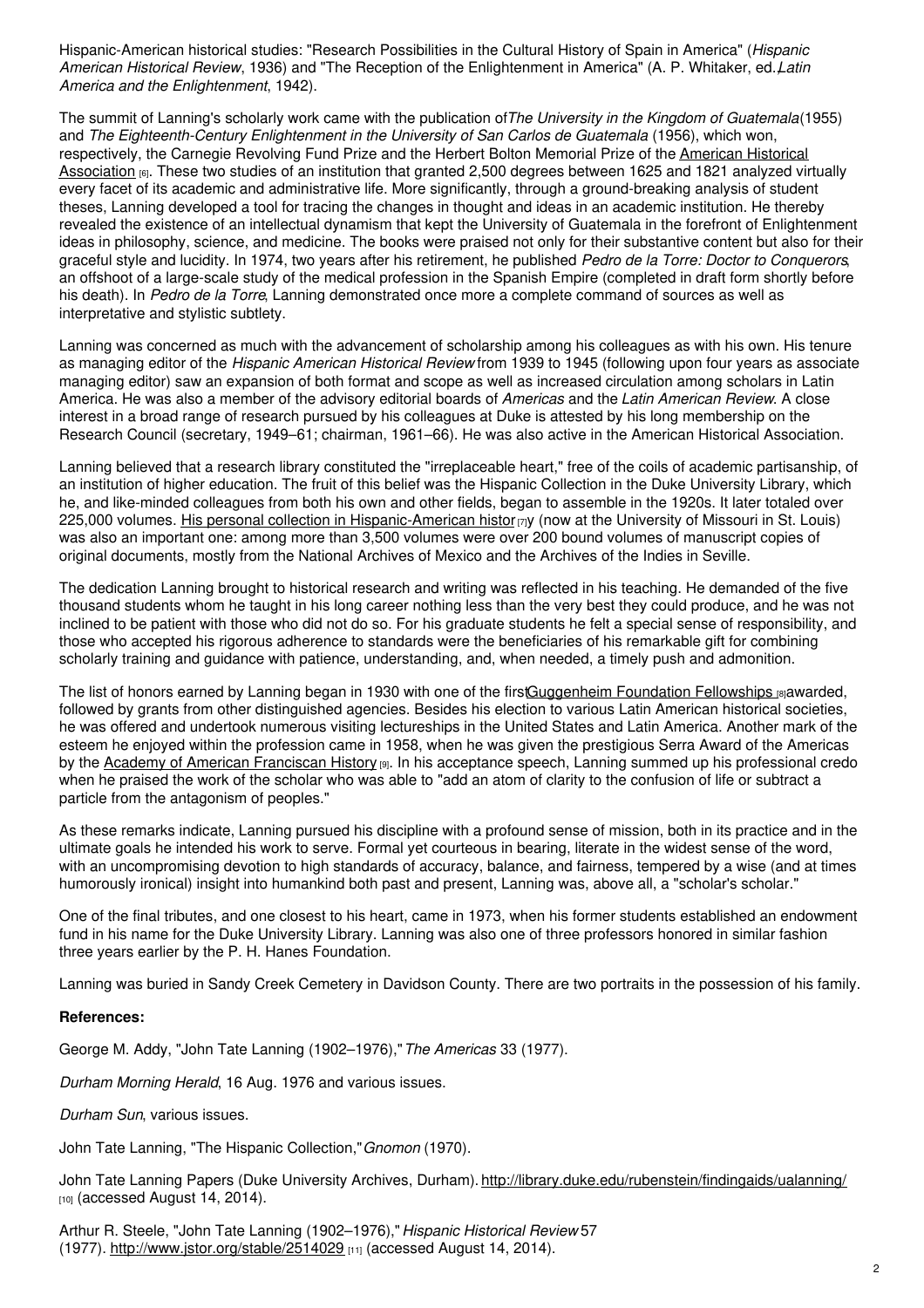Hispanic-American historical studies: "Research Possibilities in the Cultural History of Spain in America" (*Hispanic American Historical Review*, 1936) and "The Reception of the Enlightenment in America" (A. P. Whitaker, ed.,*Latin America and the Enlightenment*, 1942).

The summit of Lanning's scholarly work came with the publication of*The University in the Kingdom of Guatemala*(1955) and *The Eighteenth-Century Enlightenment in the University of San Carlos de Guatemala* (1956), which won, [respectively,](http://www.historians.org/) the Carnegie Revolving Fund Prize and the Herbert Bolton Memorial Prize of the American Historical Association [6]. These two studies of an institution that granted 2,500 degrees between 1625 and 1821 analyzed virtually every facet of its academic and administrative life. More significantly, through a ground-breaking analysis of student theses, Lanning developed a tool for tracing the changes in thought and ideas in an academic institution. He thereby revealed the existence of an intellectual dynamism that kept the University of Guatemala in the forefront of Enlightenment ideas in philosophy, science, and medicine. The books were praised not only for their substantive content but also for their graceful style and lucidity. In 1974, two years after his retirement, he published *Pedro de la Torre: Doctor to Conquerors*, an offshoot of a large-scale study of the medical profession in the Spanish Empire (completed in draft form shortly before his death). In *Pedro de la Torre*, Lanning demonstrated once more a complete command of sources as well as interpretative and stylistic subtlety.

Lanning was concerned as much with the advancement of scholarship among his colleagues as with his own. His tenure as managing editor of the *Hispanic American Historical Review* from 1939 to 1945 (following upon four years as associate managing editor) saw an expansion of both format and scope as well as increased circulation among scholars in Latin America. He was also a member of the advisory editorial boards of *Americas* and the *Latin American Review*. A close interest in a broad range of research pursued by his colleagues at Duke is attested by his long membership on the Research Council (secretary, 1949–61; chairman, 1961–66). He was also active in the American Historical Association.

Lanning believed that a research library constituted the "irreplaceable heart," free of the coils of academic partisanship, of an institution of higher education. The fruit of this belief was the Hispanic Collection in the Duke University Library, which he, and like-minded colleagues from both his own and other fields, began to assemble in the 1920s. It later totaled over 225,000 volumes. His personal collection in [Hispanic-American](http://www.umsl.edu/mercantile/collections/mercantile-library-special-collections/special_collections/slma-132.html) histor [7]y (now at the University of Missouri in St. Louis) was also an important one: among more than 3,500 volumes were over 200 bound volumes of manuscript copies of original documents, mostly from the National Archives of Mexico and the Archives of the Indies in Seville.

The dedication Lanning brought to historical research and writing was reflected in his teaching. He demanded of the five thousand students whom he taught in his long career nothing less than the very best they could produce, and he was not inclined to be patient with those who did not do so. For his graduate students he felt a special sense of responsibility, and those who accepted his rigorous adherence to standards were the beneficiaries of his remarkable gift for combining scholarly training and guidance with patience, understanding, and, when needed, a timely push and admonition.

The list of honors earned by Lanning began in 1930 with one of the firs[tGuggenheim](http://www.gf.org/about-the-foundation/the-fellowship/) Foundation Fellowships [8]awarded, followed by grants from other distinguished agencies. Besides his election to various Latin American historical societies, he was offered and undertook numerous visiting lectureships in the United States and Latin America. Another mark of the esteem he enjoyed within the profession came in 1958, when he was given the prestigious Serra Award of the Americas by the Academy of American [Franciscan](http://www.aafh.org/) History [9]. In his acceptance speech, Lanning summed up his professional credo when he praised the work of the scholar who was able to "add an atom of clarity to the confusion of life or subtract a particle from the antagonism of peoples."

As these remarks indicate, Lanning pursued his discipline with a profound sense of mission, both in its practice and in the ultimate goals he intended his work to serve. Formal yet courteous in bearing, literate in the widest sense of the word, with an uncompromising devotion to high standards of accuracy, balance, and fairness, tempered by a wise (and at times humorously ironical) insight into humankind both past and present, Lanning was, above all, a "scholar's scholar."

One of the final tributes, and one closest to his heart, came in 1973, when his former students established an endowment fund in his name for the Duke University Library. Lanning was also one of three professors honored in similar fashion three years earlier by the P. H. Hanes Foundation.

Lanning was buried in Sandy Creek Cemetery in Davidson County. There are two portraits in the possession of his family.

### **References:**

George M. Addy, "John Tate Lanning (1902–1976),"*The Americas* 33 (1977).

*Durham Morning Herald*, 16 Aug. 1976 and various issues.

*Durham Sun*, various issues.

John Tate Lanning, "The Hispanic Collection,"*Gnomon* (1970).

John Tate Lanning Papers (Duke University Archives, Durham). <http://library.duke.edu/rubenstein/findingaids/ualanning/>  $[10]$  (accessed August 14, 2014).

Arthur R. Steele, "John Tate Lanning (1902–1976),"*Hispanic Historical Review* 57 (1977). <http://www.jstor.org/stable/2514029> [11] (accessed August 14, 2014).